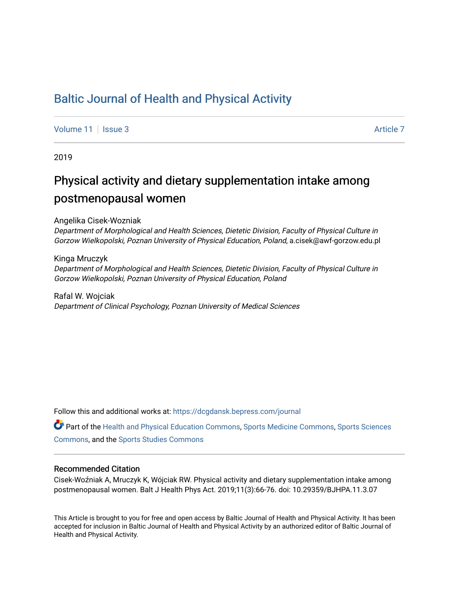## [Baltic Journal of Health and Physical Activity](https://dcgdansk.bepress.com/journal)

[Volume 11](https://dcgdansk.bepress.com/journal/vol11) | [Issue 3](https://dcgdansk.bepress.com/journal/vol11/iss3) Article 7

2019

## Physical activity and dietary supplementation intake among postmenopausal women

#### Angelika Cisek-Wozniak

Department of Morphological and Health Sciences, Dietetic Division, Faculty of Physical Culture in Gorzow Wielkopolski, Poznan University of Physical Education, Poland, a.cisek@awf-gorzow.edu.pl

#### Kinga Mruczyk Department of Morphological and Health Sciences, Dietetic Division, Faculty of Physical Culture in Gorzow Wielkopolski, Poznan University of Physical Education, Poland

Rafal W. Wojciak Department of Clinical Psychology, Poznan University of Medical Sciences

Follow this and additional works at: [https://dcgdansk.bepress.com/journal](https://dcgdansk.bepress.com/journal?utm_source=dcgdansk.bepress.com%2Fjournal%2Fvol11%2Fiss3%2F7&utm_medium=PDF&utm_campaign=PDFCoverPages)

Part of the [Health and Physical Education Commons](http://network.bepress.com/hgg/discipline/1327?utm_source=dcgdansk.bepress.com%2Fjournal%2Fvol11%2Fiss3%2F7&utm_medium=PDF&utm_campaign=PDFCoverPages), [Sports Medicine Commons,](http://network.bepress.com/hgg/discipline/1331?utm_source=dcgdansk.bepress.com%2Fjournal%2Fvol11%2Fiss3%2F7&utm_medium=PDF&utm_campaign=PDFCoverPages) [Sports Sciences](http://network.bepress.com/hgg/discipline/759?utm_source=dcgdansk.bepress.com%2Fjournal%2Fvol11%2Fiss3%2F7&utm_medium=PDF&utm_campaign=PDFCoverPages) [Commons](http://network.bepress.com/hgg/discipline/759?utm_source=dcgdansk.bepress.com%2Fjournal%2Fvol11%2Fiss3%2F7&utm_medium=PDF&utm_campaign=PDFCoverPages), and the [Sports Studies Commons](http://network.bepress.com/hgg/discipline/1198?utm_source=dcgdansk.bepress.com%2Fjournal%2Fvol11%2Fiss3%2F7&utm_medium=PDF&utm_campaign=PDFCoverPages) 

#### Recommended Citation

Cisek-Woźniak A, Mruczyk K, Wójciak RW. Physical activity and dietary supplementation intake among postmenopausal women. Balt J Health Phys Act. 2019;11(3):66-76. doi: 10.29359/BJHPA.11.3.07

This Article is brought to you for free and open access by Baltic Journal of Health and Physical Activity. It has been accepted for inclusion in Baltic Journal of Health and Physical Activity by an authorized editor of Baltic Journal of Health and Physical Activity.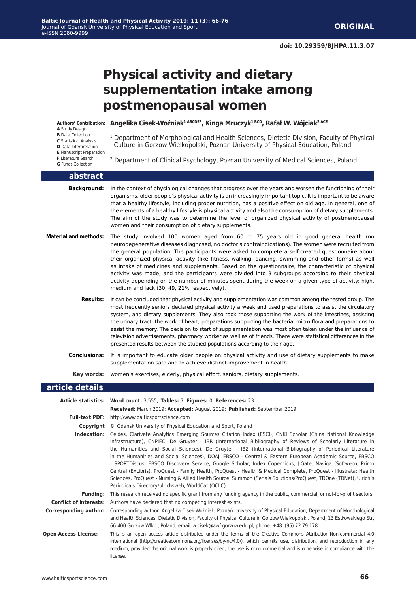# **Physical activity and dietary supplementation intake among postmenopausal women**

**A** Study Design

- **B** Data Collection **C** Statistical Analysis **D** Data Interpretation **E** Manuscript Preparation
- **F** Literature Search **G** Funds Collection

**abstract**

**Angelika Cisek-Woźniak1 ABCDEF, Kinga Mruczyk1 BCD, Rafał W. Wójciak2 ACE Authors' Contribution:**

<sup>1</sup> Department of Morphological and Health Sciences, Dietetic Division, Faculty of Physical Culture in Gorzow Wielkopolski, Poznan University of Physical Education, Poland

2 Department of Clinical Psychology, Poznan University of Medical Sciences, Poland

| awsu acc                     |                                                                                                                                                                                                                                                                                                                                                                                                                                                                                                                                                                                                                                                                                                                                                                                                                                                                           |
|------------------------------|---------------------------------------------------------------------------------------------------------------------------------------------------------------------------------------------------------------------------------------------------------------------------------------------------------------------------------------------------------------------------------------------------------------------------------------------------------------------------------------------------------------------------------------------------------------------------------------------------------------------------------------------------------------------------------------------------------------------------------------------------------------------------------------------------------------------------------------------------------------------------|
| <b>Background:</b>           | In the context of physiological changes that progress over the years and worsen the functioning of their<br>organisms, older people's physical activity is an increasingly important topic. It is important to be aware<br>that a healthy lifestyle, including proper nutrition, has a positive effect on old age. In general, one of<br>the elements of a healthy lifestyle is physical activity and also the consumption of dietary supplements.<br>The aim of the study was to determine the level of organized physical activity of postmenopausal<br>women and their consumption of dietary supplements.                                                                                                                                                                                                                                                             |
| <b>Material and methods:</b> | The study involved 100 women aged from 60 to 75 years old in good general health (no<br>neurodegenerative diseases diagnosed, no doctor's contraindications). The women were recruited from<br>the general population. The participants were asked to complete a self-created questionnaire about<br>their organized physical activity (like fitness, walking, dancing, swimming and other forms) as well<br>as intake of medicines and supplements. Based on the questionnaire, the characteristic of physical<br>activity was made, and the participants were divided into 3 subgroups according to their physical<br>activity depending on the number of minutes spent during the week on a given type of activity: high,<br>medium and lack (30, 49, 21% respectively).                                                                                               |
| <b>Results:</b>              | It can be concluded that physical activity and supplementation was common among the tested group. The<br>most frequently seniors declared physical activity a week and used preparations to assist the circulatory<br>system, and dietary supplements. They also took those supporting the work of the intestines, assisting<br>the urinary tract, the work of heart, preparations supporting the bacterial micro-flora and preparations to<br>assist the memory. The decision to start of supplementation was most often taken under the influence of<br>television advertisements, pharmacy worker as well as of friends. There were statistical differences in the<br>presented results between the studied populations according to their age.                                                                                                                        |
| <b>Conclusions:</b>          | It is important to educate older people on physical activity and use of dietary supplements to make<br>supplementation safe and to achieve distinct improvement in health.                                                                                                                                                                                                                                                                                                                                                                                                                                                                                                                                                                                                                                                                                                |
|                              | <b>Key words:</b> women's exercises, elderly, physical effort, seniors, dietary supplements.                                                                                                                                                                                                                                                                                                                                                                                                                                                                                                                                                                                                                                                                                                                                                                              |
| article details              |                                                                                                                                                                                                                                                                                                                                                                                                                                                                                                                                                                                                                                                                                                                                                                                                                                                                           |
|                              | Article statistics: Word count: 3,555; Tables: 7; Figures: 0; References: 23                                                                                                                                                                                                                                                                                                                                                                                                                                                                                                                                                                                                                                                                                                                                                                                              |
|                              | Received: March 2019; Accepted: August 2019; Published: September 2019                                                                                                                                                                                                                                                                                                                                                                                                                                                                                                                                                                                                                                                                                                                                                                                                    |
|                              | Full-text PDF: http://www.balticsportscience.com                                                                                                                                                                                                                                                                                                                                                                                                                                                                                                                                                                                                                                                                                                                                                                                                                          |
|                              | <b>Copyright</b> © Gdansk University of Physical Education and Sport, Poland                                                                                                                                                                                                                                                                                                                                                                                                                                                                                                                                                                                                                                                                                                                                                                                              |
|                              | Indexation: Celdes, Clarivate Analytics Emerging Sources Citation Index (ESCI), CNKI Scholar (China National Knowledge<br>Infrastructure), CNPIEC, De Gruyter - IBR (International Bibliography of Reviews of Scholarly Literature in<br>the Humanities and Social Sciences), De Gruyter - IBZ (International Bibliography of Periodical Literature<br>in the Humanities and Social Sciences), DOAJ, EBSCO - Central & Eastern European Academic Source, EBSCO<br>- SPORTDiscus, EBSCO Discovery Service, Google Scholar, Index Copernicus, J-Gate, Naviga (Softweco, Primo<br>Central (ExLibris), ProQuest - Family Health, ProQuest - Health & Medical Complete, ProQuest - Illustrata: Health<br>Sciences, ProQuest - Nursing & Allied Health Source, Summon (Serials Solutions/ProQuest, TDOne (TDNet), Ulrich's<br>Periodicals Directory/ulrichsweb, WorldCat (OCLC) |
|                              | Funding: This research received no specific grant from any funding agency in the public, commercial, or not-for-profit sectors.                                                                                                                                                                                                                                                                                                                                                                                                                                                                                                                                                                                                                                                                                                                                           |
|                              | <b>Conflict of interests:</b> Authors have declared that no competing interest exists.                                                                                                                                                                                                                                                                                                                                                                                                                                                                                                                                                                                                                                                                                                                                                                                    |
|                              |                                                                                                                                                                                                                                                                                                                                                                                                                                                                                                                                                                                                                                                                                                                                                                                                                                                                           |
| <b>Corresponding author:</b> | Corresponding author: Angelika Cisek-Woźniak, Poznań University of Physical Education, Department of Morphological<br>and Health Sciences, Dietetic Division, Faculty of Physical Culture in Gorzow Wielkopolski, Poland; 13 Estkowskiego Str,<br>66-400 Gorzów Wikp., Poland; email: a.cisek@awf-gorzow.edu.pl; phone: +48 (95) 72 79 178.                                                                                                                                                                                                                                                                                                                                                                                                                                                                                                                               |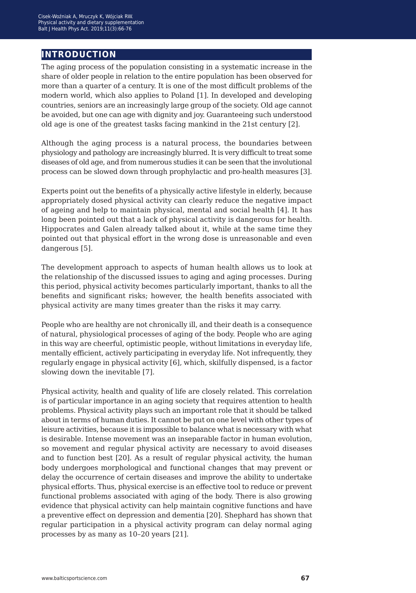## **introduction**

The aging process of the population consisting in a systematic increase in the share of older people in relation to the entire population has been observed for more than a quarter of a century. It is one of the most difficult problems of the modern world, which also applies to Poland [1]. In developed and developing countries, seniors are an increasingly large group of the society. Old age cannot be avoided, but one can age with dignity and joy. Guaranteeing such understood old age is one of the greatest tasks facing mankind in the 21st century [2].

Although the aging process is a natural process, the boundaries between physiology and pathology are increasingly blurred. It is very difficult to treat some diseases of old age, and from numerous studies it can be seen that the involutional process can be slowed down through prophylactic and pro-health measures [3].

Experts point out the benefits of a physically active lifestyle in elderly, because appropriately dosed physical activity can clearly reduce the negative impact of ageing and help to maintain physical, mental and social health [4]. It has long been pointed out that a lack of physical activity is dangerous for health. Hippocrates and Galen already talked about it, while at the same time they pointed out that physical effort in the wrong dose is unreasonable and even dangerous [5].

The development approach to aspects of human health allows us to look at the relationship of the discussed issues to aging and aging processes. During this period, physical activity becomes particularly important, thanks to all the benefits and significant risks; however, the health benefits associated with physical activity are many times greater than the risks it may carry.

People who are healthy are not chronically ill, and their death is a consequence of natural, physiological processes of aging of the body. People who are aging in this way are cheerful, optimistic people, without limitations in everyday life, mentally efficient, actively participating in everyday life. Not infrequently, they regularly engage in physical activity [6], which, skilfully dispensed, is a factor slowing down the inevitable [7].

Physical activity, health and quality of life are closely related. This correlation is of particular importance in an aging society that requires attention to health problems. Physical activity plays such an important role that it should be talked about in terms of human duties. It cannot be put on one level with other types of leisure activities, because it is impossible to balance what is necessary with what is desirable. Intense movement was an inseparable factor in human evolution, so movement and regular physical activity are necessary to avoid diseases and to function best [20]. As a result of regular physical activity, the human body undergoes morphological and functional changes that may prevent or delay the occurrence of certain diseases and improve the ability to undertake physical efforts. Thus, physical exercise is an effective tool to reduce or prevent functional problems associated with aging of the body. There is also growing evidence that physical activity can help maintain cognitive functions and have a preventive effect on depression and dementia [20]. Shephard has shown that regular participation in a physical activity program can delay normal aging processes by as many as 10–20 years [21].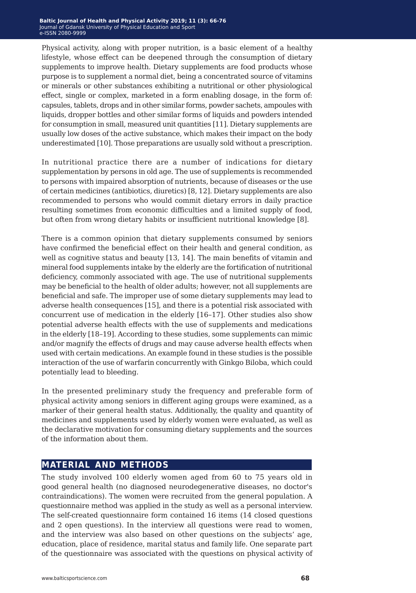Physical activity, along with proper nutrition, is a basic element of a healthy lifestyle, whose effect can be deepened through the consumption of dietary supplements to improve health. Dietary supplements are food products whose purpose is to supplement a normal diet, being a concentrated source of vitamins or minerals or other substances exhibiting a nutritional or other physiological effect, single or complex, marketed in a form enabling dosage, in the form of: capsules, tablets, drops and in other similar forms, powder sachets, ampoules with liquids, dropper bottles and other similar forms of liquids and powders intended for consumption in small, measured unit quantities [11]. Dietary supplements are usually low doses of the active substance, which makes their impact on the body underestimated [10]. Those preparations are usually sold without a prescription.

In nutritional practice there are a number of indications for dietary supplementation by persons in old age. The use of supplements is recommended to persons with impaired absorption of nutrients, because of diseases or the use of certain medicines (antibiotics, diuretics) [8, 12]. Dietary supplements are also recommended to persons who would commit dietary errors in daily practice resulting sometimes from economic difficulties and a limited supply of food, but often from wrong dietary habits or insufficient nutritional knowledge [8].

There is a common opinion that dietary supplements consumed by seniors have confirmed the beneficial effect on their health and general condition, as well as cognitive status and beauty [13, 14]. The main benefits of vitamin and mineral food supplements intake by the elderly are the fortification of nutritional deficiency, commonly associated with age. The use of nutritional supplements may be beneficial to the health of older adults; however, not all supplements are beneficial and safe. The improper use of some dietary supplements may lead to adverse health consequences [15], and there is a potential risk associated with concurrent use of medication in the elderly [16–17]. Other studies also show potential adverse health effects with the use of supplements and medications in the elderly [18–19]. According to these studies, some supplements can mimic and/or magnify the effects of drugs and may cause adverse health effects when used with certain medications. An example found in these studies is the possible interaction of the use of warfarin concurrently with Ginkgo Biloba, which could potentially lead to bleeding.

In the presented preliminary study the frequency and preferable form of physical activity among seniors in different aging groups were examined, as a marker of their general health status. Additionally, the quality and quantity of medicines and supplements used by elderly women were evaluated, as well as the declarative motivation for consuming dietary supplements and the sources of the information about them.

### **material and methods**

The study involved 100 elderly women aged from 60 to 75 years old in good general health (no diagnosed neurodegenerative diseases, no doctor's contraindications). The women were recruited from the general population. A questionnaire method was applied in the study as well as a personal interview. The self-created questionnaire form contained 16 items (14 closed questions and 2 open questions). In the interview all questions were read to women, and the interview was also based on other questions on the subjects' age, education, place of residence, marital status and family life. One separate part of the questionnaire was associated with the questions on physical activity of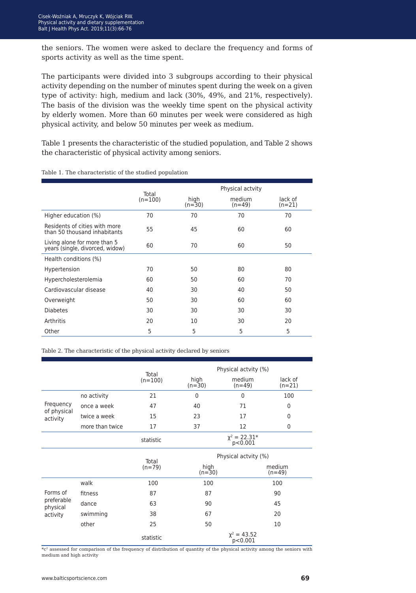the seniors. The women were asked to declare the frequency and forms of sports activity as well as the time spent.

The participants were divided into 3 subgroups according to their physical activity depending on the number of minutes spent during the week on a given type of activity: high, medium and lack (30%, 49%, and 21%, respectively). The basis of the division was the weekly time spent on the physical activity by elderly women. More than 60 minutes per week were considered as high physical activity, and below 50 minutes per week as medium.

Table 1 presents the characteristic of the studied population, and Table 2 shows the characteristic of physical activity among seniors.

|                                                                 |                    | Physical actvity |                    |                     |  |  |
|-----------------------------------------------------------------|--------------------|------------------|--------------------|---------------------|--|--|
|                                                                 | Total<br>$(n=100)$ | high<br>$(n=30)$ | medium<br>$(n=49)$ | lack of<br>$(n=21)$ |  |  |
| Higher education (%)                                            | 70                 | 70               | 70                 | 70                  |  |  |
| Residents of cities with more<br>than 50 thousand inhabitants   | 55                 | 45               | 60                 | 60                  |  |  |
| Living alone for more than 5<br>years (single, divorced, widow) | 60                 | 70               | 60                 | 50                  |  |  |
| Health conditions (%)                                           |                    |                  |                    |                     |  |  |
| Hypertension                                                    | 70                 | 50               | 80                 | 80                  |  |  |
| Hypercholesterolemia                                            | 60                 | 50               | 60                 | 70                  |  |  |
| Cardiovascular disease                                          | 40                 | 30               | 40                 | 50                  |  |  |
| Overweight                                                      | 50                 | 30               | 60                 | 60                  |  |  |
| <b>Diabetes</b>                                                 | 30                 | 30               | 30                 | 30                  |  |  |
| Arthritis                                                       | 20                 | 10               | 30                 | 20                  |  |  |
| Other                                                           | 5                  | 5                | 5                  | 5                   |  |  |

Table 1. The characteristic of the studied population

Table 2. The characteristic of the physical activity declared by seniors

|                         |                 |           |                              |                             | Total               |  | Physical actvity (%) |  |  |
|-------------------------|-----------------|-----------|------------------------------|-----------------------------|---------------------|--|----------------------|--|--|
|                         |                 | $(n=100)$ | high<br>$(n=30)$             | medium<br>$(n=49)$          | lack of<br>$(n=21)$ |  |                      |  |  |
|                         | no activity     | 21        | $\mathbf{0}$                 | $\mathbf 0$                 | 100                 |  |                      |  |  |
| Frequency               | once a week     | 47        | 40                           | 71                          | $\mathbf 0$         |  |                      |  |  |
| of physical<br>activity | twice a week    | 15        | 23                           | 17                          | 0                   |  |                      |  |  |
|                         | more than twice | 17        | 37<br>12                     |                             | $\Omega$            |  |                      |  |  |
|                         |                 | statistic | $\chi^2 = 22.31*$<br>p<0.001 |                             |                     |  |                      |  |  |
|                         |                 | Total     | Physical actvity (%)         |                             |                     |  |                      |  |  |
|                         |                 | $(n=79)$  | high<br>$(n=30)$             |                             | medium<br>$(n=49)$  |  |                      |  |  |
|                         | walk            | 100       | 100                          | 100                         |                     |  |                      |  |  |
| Forms of                | fitness         | 87        | 87                           |                             | 90                  |  |                      |  |  |
| preferable<br>physical  | dance           | 63        | 90                           |                             | 45                  |  |                      |  |  |
| activity                | swimming        | 38        | 67                           |                             | 20                  |  |                      |  |  |
|                         | other           | 25        | 50                           |                             | 10                  |  |                      |  |  |
|                         |                 | statistic |                              | $\chi^2 = 43.52$<br>p<0.001 |                     |  |                      |  |  |

 $*c<sup>2</sup>$  assessed for comparison of the frequency of distribution of quantity of the physical activity among the seniors with medium and high activity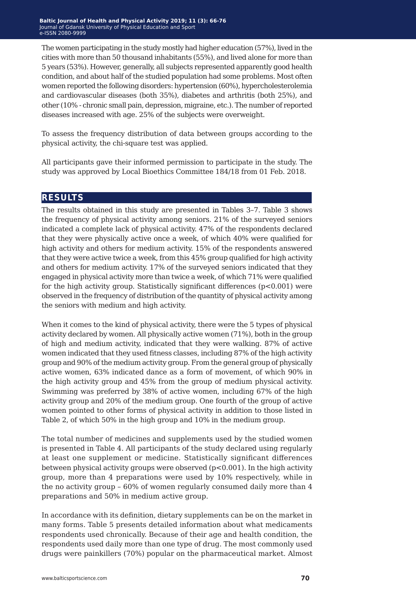The women participating in the study mostly had higher education (57%), lived in the cities with more than 50 thousand inhabitants (55%), and lived alone for more than 5 years (53%). However, generally, all subjects represented apparently good health condition, and about half of the studied population had some problems. Most often women reported the following disorders: hypertension (60%), hypercholesterolemia and cardiovascular diseases (both 35%), diabetes and arthritis (both 25%), and other (10% - chronic small pain, depression, migraine, etc.). The number of reported diseases increased with age. 25% of the subjects were overweight.

To assess the frequency distribution of data between groups according to the physical activity, the chi-square test was applied.

All participants gave their informed permission to participate in the study. The study was approved by Local Bioethics Committee 184/18 from 01 Feb. 2018.

#### **results**

The results obtained in this study are presented in Tables 3–7. Table 3 shows the frequency of physical activity among seniors. 21% of the surveyed seniors indicated a complete lack of physical activity. 47% of the respondents declared that they were physically active once a week, of which 40% were qualified for high activity and others for medium activity. 15% of the respondents answered that they were active twice a week, from this 45% group qualified for high activity and others for medium activity. 17% of the surveyed seniors indicated that they engaged in physical activity more than twice a week, of which 71% were qualified for the high activity group. Statistically significant differences  $(p<0.001)$  were observed in the frequency of distribution of the quantity of physical activity among the seniors with medium and high activity.

When it comes to the kind of physical activity, there were the 5 types of physical activity declared by women. All physically active women (71%), both in the group of high and medium activity, indicated that they were walking. 87% of active women indicated that they used fitness classes, including 87% of the high activity group and 90% of the medium activity group. From the general group of physically active women, 63% indicated dance as a form of movement, of which 90% in the high activity group and 45% from the group of medium physical activity. Swimming was preferred by 38% of active women, including 67% of the high activity group and 20% of the medium group. One fourth of the group of active women pointed to other forms of physical activity in addition to those listed in Table 2, of which 50% in the high group and 10% in the medium group.

The total number of medicines and supplements used by the studied women is presented in Table 4. All participants of the study declared using regularly at least one supplement or medicine. Statistically significant differences between physical activity groups were observed  $(p<0.001)$ . In the high activity group, more than 4 preparations were used by 10% respectively, while in the no activity group – 60% of women regularly consumed daily more than 4 preparations and 50% in medium active group.

In accordance with its definition, dietary supplements can be on the market in many forms. Table 5 presents detailed information about what medicaments respondents used chronically. Because of their age and health condition, the respondents used daily more than one type of drug. The most commonly used drugs were painkillers (70%) popular on the pharmaceutical market. Almost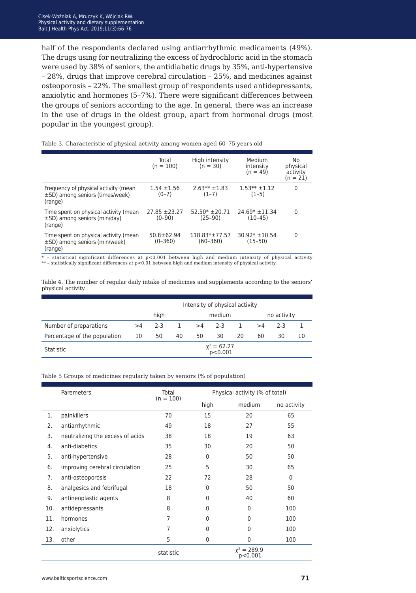half of the respondents declared using antiarrhythmic medicaments (49%). The drugs using for neutralizing the excess of hydrochloric acid in the stomach were used by 38% of seniors, the antidiabetic drugs by 35%, anti-hypertensive – 28%, drugs that improve cerebral circulation – 25%, and medicines against osteoporosis – 22%. The smallest group of respondents used antidepressants, anxiolytic and hormones (5–7%). There were significant differences between the groups of seniors according to the age. In general, there was an increase in the use of drugs in the oldest group, apart from hormonal drugs (most popular in the youngest group).

|                                                                                         | Total<br>$(n = 100)$            | High intensity<br>$(n = 30)$        | Medium<br>intensity<br>$(n = 49)$ | No<br>physical<br>activity<br>$(n = 21)$ |
|-----------------------------------------------------------------------------------------|---------------------------------|-------------------------------------|-----------------------------------|------------------------------------------|
| Frequency of physical activity (mean<br>$\pm$ SD) among seniors (times/week)<br>(range) | $1.54 \pm 1.56$<br>$(0-7)$      | $2.63** + 1.83$<br>$(1-7)$          | $1.53**+1.12$<br>$(1-5)$          | 0                                        |
| Time spent on physical activity (mean<br>$\pm$ SD) among seniors (min/day)<br>(range)   | $27.85 + 23.27$<br>$(0-90)$     | $52.50* + 20.71$<br>(25–90)         | $24.69* \pm 11.34$<br>$(10-45)$   | 0                                        |
| Time spent on physical activity (mean<br>$\pm$ SD) among seniors (min/week)<br>(range)  | $50.8 \pm 62.94$<br>$(0 - 360)$ | $118.83* \pm 77.57$<br>$(60 - 360)$ | $30.92* \pm 10.54$<br>$(15-50)$   | 0                                        |

Table 3. Characteristic of physical activity among women aged 60–75 years old

\* – statistical significant differences at p<0.001 between high and medium intensity of physical activity \*\* – statistically significant differences at p<0.01 between high and medium intensity of physical activity

Table 4. The number of regular daily intake of medicines and supplements according to the seniors' physical activity

|                              | Intensity of physical activity |         |    |    |         |    |    |       |    |
|------------------------------|--------------------------------|---------|----|----|---------|----|----|-------|----|
|                              | high<br>no activity<br>medium  |         |    |    |         |    |    |       |    |
| Number of preparations       | >4                             | $2 - 3$ |    | >4 | $2 - 3$ | 1. | >4 | $2-3$ |    |
| Percentage of the population | 10                             | 50      | 40 | 50 | 30      | 20 | 60 | 30    | 10 |
| Statistic                    | $x^2 = 62.27$<br>p<0.001       |         |    |    |         |    |    |       |    |

Table 5 Groups of medicines regularly taken by seniors (% of population)

|     | Paremeters                       | Total<br>$(n = 100)$ | Physical activity (% of total) |                             |              |  |
|-----|----------------------------------|----------------------|--------------------------------|-----------------------------|--------------|--|
|     |                                  |                      | high                           | medium                      | no activity  |  |
| 1.  | painkillers                      | 70                   | 15                             | 20                          | 65           |  |
| 2.  | antiarrhythmic                   | 49                   | 18                             | 27                          | 55           |  |
| 3.  | neutralizing the excess of acids | 38                   | 18                             | 19                          | 63           |  |
| 4.  | anti-diabetics                   | 35                   | 30                             | 20                          | 50           |  |
| 5.  | anti-hypertensive                | 28                   | 0                              | 50                          | 50           |  |
| 6.  | improving cerebral circulation   | 25                   | 5                              | 30                          | 65           |  |
| 7.  | anti-osteoporosis                | 22                   | 72                             | 28                          | $\mathbf{0}$ |  |
| 8.  | analgesics and febrifugal        | 18                   | $\mathbf{0}$                   | 50                          | 50           |  |
| 9.  | antineoplastic agents            | 8                    | $\Omega$                       | 40                          | 60           |  |
| 10. | antidepressants                  | 8                    | $\Omega$                       | $\Omega$                    | 100          |  |
| 11. | hormones                         | 7                    | $\Omega$                       | $\Omega$                    | 100          |  |
| 12. | anxiolytics                      | 7                    | $\Omega$                       | $\Omega$                    | 100          |  |
| 13. | other                            | 5                    | $\mathbf{0}$                   | $\mathbf{0}$                | 100          |  |
|     |                                  | statistic            |                                | $\chi^2 = 289.9$<br>p<0.001 |              |  |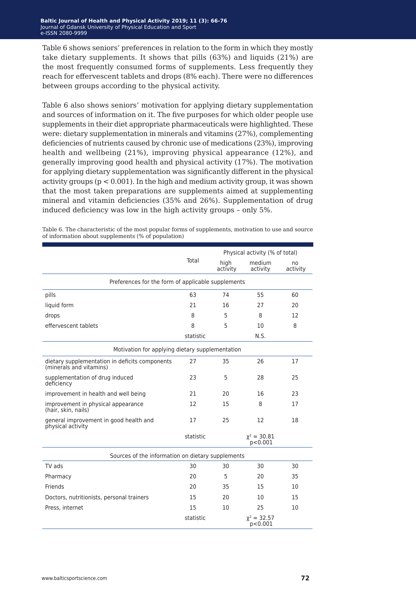Table 6 shows seniors' preferences in relation to the form in which they mostly take dietary supplements. It shows that pills (63%) and liquids (21%) are the most frequently consumed forms of supplements. Less frequently they reach for effervescent tablets and drops (8% each). There were no differences between groups according to the physical activity.

Table 6 also shows seniors' motivation for applying dietary supplementation and sources of information on it. The five purposes for which older people use supplements in their diet appropriate pharmaceuticals were highlighted. These were: dietary supplementation in minerals and vitamins (27%), complementing deficiencies of nutrients caused by chronic use of medications (23%), improving health and wellbeing (21%), improving physical appearance (12%), and generally improving good health and physical activity (17%). The motivation for applying dietary supplementation was significantly different in the physical activity groups ( $p < 0.001$ ). In the high and medium activity group, it was shown that the most taken preparations are supplements aimed at supplementing mineral and vitamin deficiencies (35% and 26%). Supplementation of drug induced deficiency was low in the high activity groups – only 5%.

|                                                                           |           | Physical activity (% of total) |                             |                |
|---------------------------------------------------------------------------|-----------|--------------------------------|-----------------------------|----------------|
|                                                                           | Total     | high<br>activity               | medium<br>activity          | no<br>activity |
| Preferences for the form of applicable supplements                        |           |                                |                             |                |
| pills                                                                     | 63        | 74                             | 55                          | 60             |
| liquid form                                                               | 21        | 16                             | 27                          | 20             |
| drops                                                                     | 8         | 5                              | 8                           | 12             |
| effervescent tablets                                                      | 8         | 5                              | 10                          | 8              |
|                                                                           | statistic |                                | N.S.                        |                |
| Motivation for applying dietary supplementation                           |           |                                |                             |                |
| dietary supplementation in deficits components<br>(minerals and vitamins) | 27        | 35                             | 26                          | 17             |
| supplementation of drug induced<br>deficiency                             | 23        | 5                              | 28                          | 25             |
| improvement in health and well being                                      | 21        | 20                             | 16                          | 23             |
| improvement in physical appearance<br>(hair, skin, nails)                 | 12        | 15                             | 8                           | 17             |
| general improvement in good health and<br>physical activity               | 17        | 25                             | 12                          | 18             |
|                                                                           | statistic |                                | $\chi^2 = 30.81$<br>p<0.001 |                |
| Sources of the information on dietary supplements                         |           |                                |                             |                |
| TV ads                                                                    | 30        | 30                             | 30                          | 30             |
| Pharmacy                                                                  | 20        | 5                              | 20                          | 35             |
| Friends                                                                   | 20        | 35                             | 15                          | 10             |
| Doctors, nutritionists, personal trainers                                 | 15        | 20                             | 10                          | 15             |
| Press, internet                                                           | 15        | 10                             | 25                          | 10             |
|                                                                           | statistic |                                | $\chi^2 = 32.57$<br>p<0.001 |                |

Table 6. The characteristic of the most popular forms of supplements, motivation to use and source of information about supplements (% of population)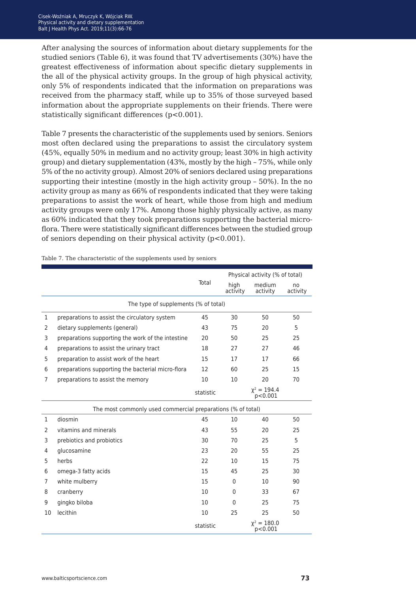After analysing the sources of information about dietary supplements for the studied seniors (Table 6), it was found that TV advertisements (30%) have the greatest effectiveness of information about specific dietary supplements in the all of the physical activity groups. In the group of high physical activity, only 5% of respondents indicated that the information on preparations was received from the pharmacy staff, while up to 35% of those surveyed based information about the appropriate supplements on their friends. There were statistically significant differences (p<0.001).

Table 7 presents the characteristic of the supplements used by seniors. Seniors most often declared using the preparations to assist the circulatory system (45%, equally 50% in medium and no activity group; least 30% in high activity group) and dietary supplementation (43%, mostly by the high – 75%, while only 5% of the no activity group). Almost 20% of seniors declared using preparations supporting their intestine (mostly in the high activity group – 50%). In the no activity group as many as 66% of respondents indicated that they were taking preparations to assist the work of heart, while those from high and medium activity groups were only 17%. Among those highly physically active, as many as 60% indicated that they took preparations supporting the bacterial microflora. There were statistically significant differences between the studied group of seniors depending on their physical activity (p<0.001).

|              |                                                             |           |                  | Physical activity (% of total) |                |  |  |
|--------------|-------------------------------------------------------------|-----------|------------------|--------------------------------|----------------|--|--|
|              |                                                             | Total     | high<br>activity | medium<br>activity             | no<br>activity |  |  |
|              | The type of supplements (% of total)                        |           |                  |                                |                |  |  |
| 1            | preparations to assist the circulatory system               | 45        | 30               | 50                             | 50             |  |  |
| 2            | dietary supplements (general)                               | 43        | 75               | 20                             | 5              |  |  |
| 3            | preparations supporting the work of the intestine           | 20        | 50               | 25                             | 25             |  |  |
| 4            | preparations to assist the urinary tract                    | 18        | 27               | 27                             | 46             |  |  |
| 5            | preparation to assist work of the heart                     | 15        | 17               | 17                             | 66             |  |  |
| 6            | preparations supporting the bacterial micro-flora           | 12        | 60               | 25                             | 15             |  |  |
| 7            | preparations to assist the memory                           | 10        | 10               | 20                             | 70             |  |  |
|              |                                                             | statistic |                  | $\chi^2 = 194.4$<br>p<0.001    |                |  |  |
|              | The most commonly used commercial preparations (% of total) |           |                  |                                |                |  |  |
| $\mathbf{1}$ | diosmin                                                     | 45        | 10               | 40                             | 50             |  |  |
| 2            | vitamins and minerals                                       | 43        | 55               | 20                             | 25             |  |  |
| 3            | prebiotics and probiotics                                   | 30        | 70               | 25                             | 5              |  |  |
| 4            | glucosamine                                                 | 23        | 20               | 55                             | 25             |  |  |
| 5            | herbs                                                       | 22        | 10               | 15                             | 75             |  |  |
| 6            | omega-3 fatty acids                                         | 15        | 45               | 25                             | 30             |  |  |
| 7            | white mulberry                                              | 15        | $\mathbf{0}$     | 10                             | 90             |  |  |
| 8            | cranberry                                                   | 10        | $\mathbf{0}$     | 33                             | 67             |  |  |
| 9            | gingko biloba                                               | 10        | $\mathbf{0}$     | 25                             | 75             |  |  |
| 10           | lecithin                                                    | 10        | 25               | 25                             | 50             |  |  |
|              |                                                             | statistic |                  | $\chi^2 = 180.0$<br>p<0.001    |                |  |  |

Table 7. The characteristic of the supplements used by seniors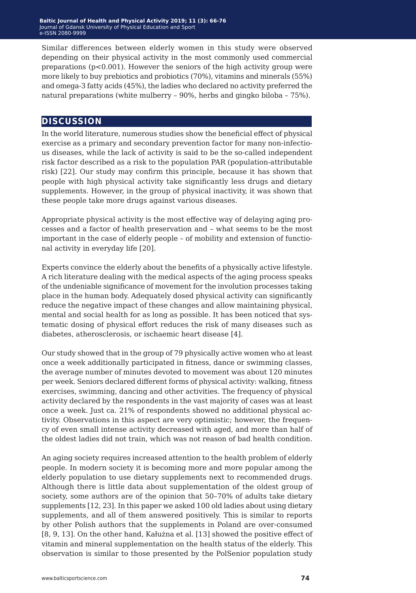Similar differences between elderly women in this study were observed depending on their physical activity in the most commonly used commercial preparations  $(p<0.001)$ . However the seniors of the high activity group were more likely to buy prebiotics and probiotics (70%), vitamins and minerals (55%) and omega-3 fatty acids (45%), the ladies who declared no activity preferred the natural preparations (white mulberry – 90%, herbs and gingko biloba – 75%).

#### **discussion**

In the world literature, numerous studies show the beneficial effect of physical exercise as a primary and secondary prevention factor for many non-infectious diseases, while the lack of activity is said to be the so-called independent risk factor described as a risk to the population PAR (population-attributable risk) [22]. Our study may confirm this principle, because it has shown that people with high physical activity take significantly less drugs and dietary supplements. However, in the group of physical inactivity, it was shown that these people take more drugs against various diseases.

Appropriate physical activity is the most effective way of delaying aging processes and a factor of health preservation and – what seems to be the most important in the case of elderly people – of mobility and extension of functional activity in everyday life [20].

Experts convince the elderly about the benefits of a physically active lifestyle. A rich literature dealing with the medical aspects of the aging process speaks of the undeniable significance of movement for the involution processes taking place in the human body. Adequately dosed physical activity can significantly reduce the negative impact of these changes and allow maintaining physical, mental and social health for as long as possible. It has been noticed that systematic dosing of physical effort reduces the risk of many diseases such as diabetes, atherosclerosis, or ischaemic heart disease [4].

Our study showed that in the group of 79 physically active women who at least once a week additionally participated in fitness, dance or swimming classes, the average number of minutes devoted to movement was about 120 minutes per week. Seniors declared different forms of physical activity: walking, fitness exercises, swimming, dancing and other activities. The frequency of physical activity declared by the respondents in the vast majority of cases was at least once a week. Just ca. 21% of respondents showed no additional physical activity. Observations in this aspect are very optimistic; however, the frequency of even small intense activity decreased with aged, and more than half of the oldest ladies did not train, which was not reason of bad health condition.

An aging society requires increased attention to the health problem of elderly people. In modern society it is becoming more and more popular among the elderly population to use dietary supplements next to recommended drugs. Although there is little data about supplementation of the oldest group of society, some authors are of the opinion that 50–70% of adults take dietary supplements [12, 23]. In this paper we asked 100 old ladies about using dietary supplements, and all of them answered positively. This is similar to reports by other Polish authors that the supplements in Poland are over-consumed [8, 9, 13]. On the other hand, Kałużna et al. [13] showed the positive effect of vitamin and mineral supplementation on the health status of the elderly. This observation is similar to those presented by the PolSenior population study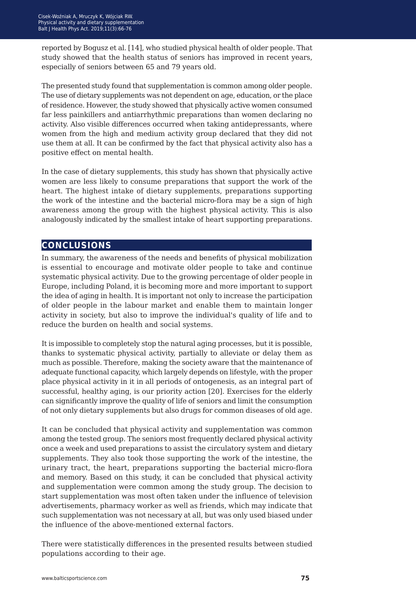reported by Bogusz et al. [14], who studied physical health of older people. That study showed that the health status of seniors has improved in recent years, especially of seniors between 65 and 79 years old.

The presented study found that supplementation is common among older people. The use of dietary supplements was not dependent on age, education, or the place of residence. However, the study showed that physically active women consumed far less painkillers and antiarrhythmic preparations than women declaring no activity. Also visible differences occurred when taking antidepressants, where women from the high and medium activity group declared that they did not use them at all. It can be confirmed by the fact that physical activity also has a positive effect on mental health.

In the case of dietary supplements, this study has shown that physically active women are less likely to consume preparations that support the work of the heart. The highest intake of dietary supplements, preparations supporting the work of the intestine and the bacterial micro-flora may be a sign of high awareness among the group with the highest physical activity. This is also analogously indicated by the smallest intake of heart supporting preparations.

### **conclusions**

In summary, the awareness of the needs and benefits of physical mobilization is essential to encourage and motivate older people to take and continue systematic physical activity. Due to the growing percentage of older people in Europe, including Poland, it is becoming more and more important to support the idea of aging in health. It is important not only to increase the participation of older people in the labour market and enable them to maintain longer activity in society, but also to improve the individual's quality of life and to reduce the burden on health and social systems.

It is impossible to completely stop the natural aging processes, but it is possible, thanks to systematic physical activity, partially to alleviate or delay them as much as possible. Therefore, making the society aware that the maintenance of adequate functional capacity, which largely depends on lifestyle, with the proper place physical activity in it in all periods of ontogenesis, as an integral part of successful, healthy aging, is our priority action [20]. Exercises for the elderly can significantly improve the quality of life of seniors and limit the consumption of not only dietary supplements but also drugs for common diseases of old age.

It can be concluded that physical activity and supplementation was common among the tested group. The seniors most frequently declared physical activity once a week and used preparations to assist the circulatory system and dietary supplements. They also took those supporting the work of the intestine, the urinary tract, the heart, preparations supporting the bacterial micro-flora and memory. Based on this study, it can be concluded that physical activity and supplementation were common among the study group. The decision to start supplementation was most often taken under the influence of television advertisements, pharmacy worker as well as friends, which may indicate that such supplementation was not necessary at all, but was only used biased under the influence of the above-mentioned external factors.

There were statistically differences in the presented results between studied populations according to their age.